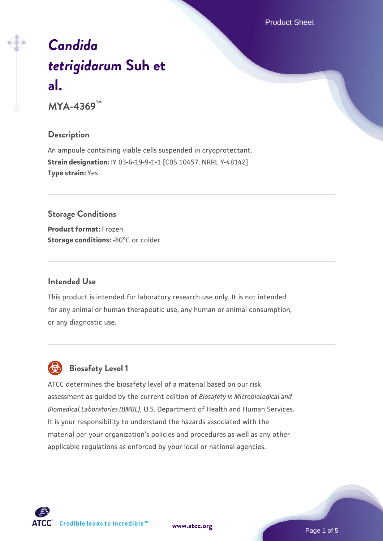Product Sheet

# *[Candida](https://www.atcc.org/products/mya-4369) [tetrigidarum](https://www.atcc.org/products/mya-4369)* **[Suh et](https://www.atcc.org/products/mya-4369) [al.](https://www.atcc.org/products/mya-4369)**

**MYA-4369™**

# **Description**

An ampoule containing viable cells suspended in cryoprotectant. **Strain designation:** IY 03-6-19-9-1-1 [CBS 10457, NRRL Y-48142] **Type strain:** Yes

# **Storage Conditions**

**Product format:** Frozen **Storage conditions: -80°C or colder** 

## **Intended Use**

This product is intended for laboratory research use only. It is not intended for any animal or human therapeutic use, any human or animal consumption, or any diagnostic use.

# **Biosafety Level 1**

ATCC determines the biosafety level of a material based on our risk assessment as guided by the current edition of *Biosafety in Microbiological and Biomedical Laboratories (BMBL)*, U.S. Department of Health and Human Services. It is your responsibility to understand the hazards associated with the material per your organization's policies and procedures as well as any other applicable regulations as enforced by your local or national agencies.

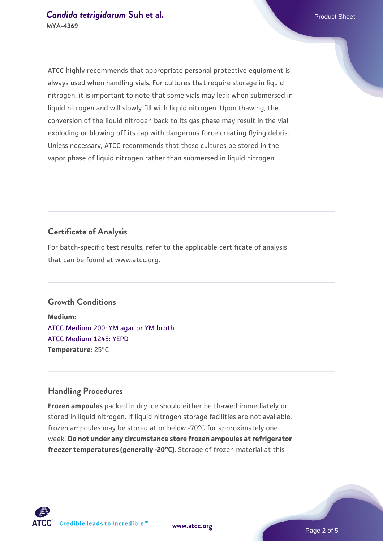ATCC highly recommends that appropriate personal protective equipment is always used when handling vials. For cultures that require storage in liquid nitrogen, it is important to note that some vials may leak when submersed in liquid nitrogen and will slowly fill with liquid nitrogen. Upon thawing, the

conversion of the liquid nitrogen back to its gas phase may result in the vial exploding or blowing off its cap with dangerous force creating flying debris. Unless necessary, ATCC recommends that these cultures be stored in the vapor phase of liquid nitrogen rather than submersed in liquid nitrogen.

# **Certificate of Analysis**

For batch-specific test results, refer to the applicable certificate of analysis that can be found at www.atcc.org.

# **Growth Conditions**

**Medium:**  [ATCC Medium 200: YM agar or YM broth](https://www.atcc.org/-/media/product-assets/documents/microbial-media-formulations/2/0/0/atcc-medium-200.pdf?rev=ac40fd74dc13433a809367b0b9da30fc) [ATCC Medium 1245: YEPD](https://www.atcc.org/-/media/product-assets/documents/microbial-media-formulations/1/2/4/5/atcc-medium-1245.pdf?rev=705ca55d1b6f490a808a965d5c072196) **Temperature:** 25°C

#### **Handling Procedures**

**Frozen ampoules** packed in dry ice should either be thawed immediately or stored in liquid nitrogen. If liquid nitrogen storage facilities are not available, frozen ampoules may be stored at or below -70°C for approximately one week. **Do not under any circumstance store frozen ampoules at refrigerator freezer temperatures (generally -20°C)**. Storage of frozen material at this

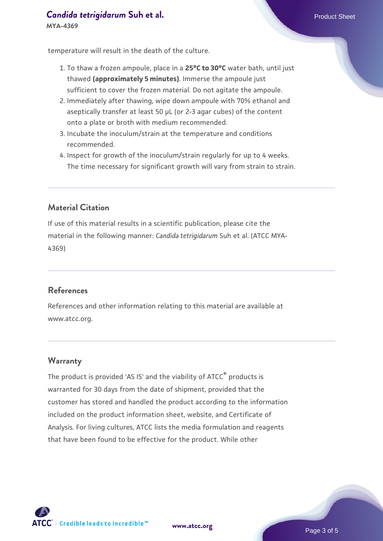# **[Candida tetrigidarum](https://www.atcc.org/products/mya-4369) [Suh et al.](https://www.atcc.org/products/mya-4369)** Product Sheet **MYA-4369**

temperature will result in the death of the culture.

- 1. To thaw a frozen ampoule, place in a **25°C to 30°C** water bath, until just thawed **(approximately 5 minutes)**. Immerse the ampoule just sufficient to cover the frozen material. Do not agitate the ampoule.
- 2. Immediately after thawing, wipe down ampoule with 70% ethanol and aseptically transfer at least 50 µL (or 2-3 agar cubes) of the content onto a plate or broth with medium recommended.
- 3. Incubate the inoculum/strain at the temperature and conditions recommended.
- 4. Inspect for growth of the inoculum/strain regularly for up to 4 weeks. The time necessary for significant growth will vary from strain to strain.

# **Material Citation**

If use of this material results in a scientific publication, please cite the material in the following manner: *Candida tetrigidarum* Suh et al. (ATCC MYA-4369)

#### **References**

References and other information relating to this material are available at www.atcc.org.

#### **Warranty**

The product is provided 'AS IS' and the viability of ATCC® products is warranted for 30 days from the date of shipment, provided that the customer has stored and handled the product according to the information included on the product information sheet, website, and Certificate of Analysis. For living cultures, ATCC lists the media formulation and reagents that have been found to be effective for the product. While other



**[www.atcc.org](http://www.atcc.org)**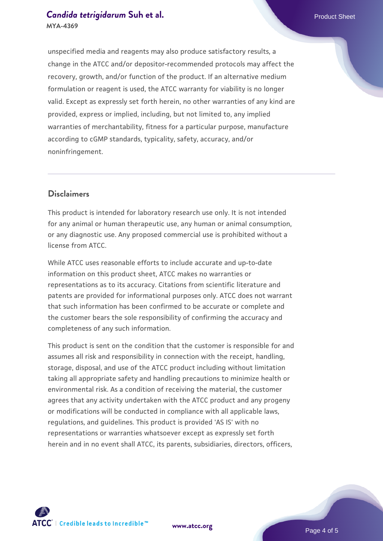# **[Candida tetrigidarum](https://www.atcc.org/products/mya-4369) [Suh et al.](https://www.atcc.org/products/mya-4369)** Product Sheet **MYA-4369**

unspecified media and reagents may also produce satisfactory results, a change in the ATCC and/or depositor-recommended protocols may affect the recovery, growth, and/or function of the product. If an alternative medium formulation or reagent is used, the ATCC warranty for viability is no longer valid. Except as expressly set forth herein, no other warranties of any kind are provided, express or implied, including, but not limited to, any implied warranties of merchantability, fitness for a particular purpose, manufacture according to cGMP standards, typicality, safety, accuracy, and/or noninfringement.

# **Disclaimers**

This product is intended for laboratory research use only. It is not intended for any animal or human therapeutic use, any human or animal consumption, or any diagnostic use. Any proposed commercial use is prohibited without a license from ATCC.

While ATCC uses reasonable efforts to include accurate and up-to-date information on this product sheet, ATCC makes no warranties or representations as to its accuracy. Citations from scientific literature and patents are provided for informational purposes only. ATCC does not warrant that such information has been confirmed to be accurate or complete and the customer bears the sole responsibility of confirming the accuracy and completeness of any such information.

This product is sent on the condition that the customer is responsible for and assumes all risk and responsibility in connection with the receipt, handling, storage, disposal, and use of the ATCC product including without limitation taking all appropriate safety and handling precautions to minimize health or environmental risk. As a condition of receiving the material, the customer agrees that any activity undertaken with the ATCC product and any progeny or modifications will be conducted in compliance with all applicable laws, regulations, and guidelines. This product is provided 'AS IS' with no representations or warranties whatsoever except as expressly set forth herein and in no event shall ATCC, its parents, subsidiaries, directors, officers,